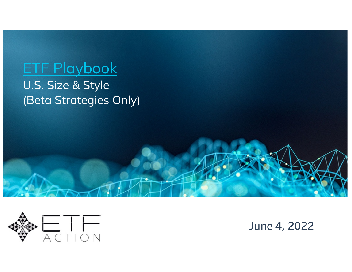# ETF Playbook

U.S. Size & Style (Beta Strategies Only)



**June 4, 2022**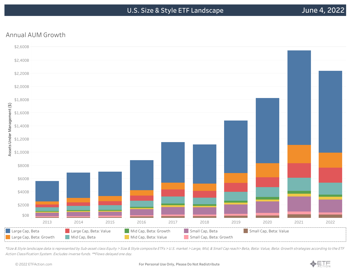## Annual AUM Growth



\*Size & Style landscape data is represented by Sub-asset class Equity <sup>&</sup>gt; Size & Style composite ETFs <sup>&</sup>gt; U.S. market <sup>&</sup>gt; Large, Mid, & Small Cap reach> Beta, Beta: Value, Beta: Growth strategies according to the ETF Action Classification System. Excludes inverse funds. \*\*Flows delayed one day.

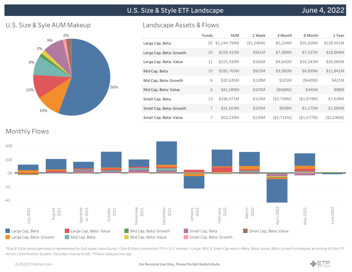**U.S. Size & Style ETF Landscape**

#### U.S. Size & Syle AUM Makeup



#### Landscape Assets & Flows

|                         | Funds | AUM          | 1 Week     | 3 Month    | 6 Month    | 1 Year     |
|-------------------------|-------|--------------|------------|------------|------------|------------|
| Large Cap, Beta         | 25    | \$1,244,794M | (\$1,246M) | \$5,234M   | \$35,028M  | \$128,901M |
| Large Cap, Beta: Growth | 10    | \$228,410M   | \$561M     | \$7,389M   | \$7,537M   | \$18,868M  |
| Large Cap, Beta: Value  | 11    | \$225,930M   | \$160M     | \$4,642M   | \$18,243M  | \$26,080M  |
| Mid Cap, Beta           | 10    | \$181,765M   | \$925M     | \$3,582M   | \$6,899M   | \$11,841M  |
| Mid Cap, Beta: Growth   | 6     | \$32,635M    | \$128M     | \$325M     | (\$640M)   | \$421M     |
| Mid Cap, Beta: Value    | 6     | \$41,589M    | \$100M     | (\$468M)   | \$440M     | \$88M      |
| Small Cap, Beta         | 13    | \$196,071M   | \$124M     | (\$3,758M) | (\$1,874M) | \$7,638M   |
| Small Cap, Beta: Growth | 7     | \$31,603M    | \$100M     | \$608M     | \$1,175M   | \$1,686M   |
| Small Cap, Beta: Value  | 7     | \$53,239M    | \$139M     | (\$2,731M) | (\$1,677M) | (\$2,036M) |

### Monthly Flows



\*Size & Style landscape data is represented by Sub-asset class Equity <sup>&</sup>gt; Size & Style composite ETFs <sup>&</sup>gt; U.S. market <sup>&</sup>gt; Large, Mid, & Small Cap reach> Beta, Beta: Value, Beta: Growth strategies according to the ETF Action Classification System. Excludes inverse funds. \*\*Flows delayed one day.

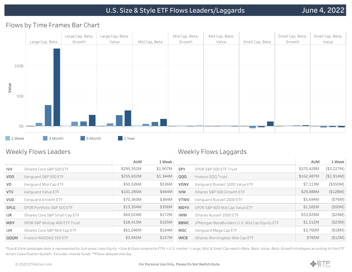#### Flows by Time Frames Bar Chart



#### Weekly Flows Leaders

#### Weekly Flows Laggards

|                |                                | AUM        | 1 Week   |             |                                               | AUM        | 1 Week     |
|----------------|--------------------------------|------------|----------|-------------|-----------------------------------------------|------------|------------|
| <b>IVV</b>     | iShares Core S&P 500 ETF       | \$295,352M | \$1,907M | <b>SPY</b>  | SPDR S&P 500 ETF Trust                        | \$370,428M | (\$3,227M) |
| VOO            | Vanguard S&P 500 ETF           | \$255,602M | \$1,344M | QQQ         | Invesco QQQ Trust                             | \$162,487M | (\$1,914M) |
| V <sub>O</sub> | Vanguard Mid-Cap ETF           | \$50,526M  | \$536M   | <b>VONV</b> | Vanguard Russell 1000 Value ETF               | \$7,113M   | (\$550M)   |
| <b>VTV</b>     | Vanguard Value ETF             | \$101,285M | \$444M   | <b>IVW</b>  | iShares S&P 500 Growth ETF                    | \$29,888M  | (\$128M)   |
| <b>VUG</b>     | Vanguard Growth ETF            | \$70,363M  | \$364M   | <b>VTWO</b> | Vanguard Russell 2000 ETF                     | \$5,694M   | (\$76M)    |
| SPLG           | SPDR Portfolio S&P 500 ETF     | \$13,354M  | \$356M   | <b>MDYV</b> | SPDR S&P 400 Mid Cap Value ETF                | \$1,582M   | (\$50M)    |
| <b>IJR</b>     | iShares Core S&P Small Cap ETF | \$64,624M  | \$172M   | <b>IWM</b>  | iShares Russell 2000 ETF                      | \$53,828M  | (\$24M)    |
| <b>MDY</b>     | SPDR S&P Midcap 400 ETF Trust  | \$18,413M  | \$165M   | BBMC        | JPMorgan BetaBuilders U.S. Mid Cap Equity ETF | \$1,512M   | (\$23M)    |
| <b>IJH</b>     | iShares Core S&P Mid-Cap ETF   | \$61,046M  | \$164M   | MGC         | Vanguard Mega Cap ETF                         | \$3,760M   | ( \$18M)   |
| QQQM           | Invesco NASDAQ 100 ETF         | \$3,945M   | \$157M   | <b>IMCB</b> | iShares Morningstar Mid-Cap ETF               | \$785M     | (\$12M)    |
|                |                                |            |          |             |                                               |            |            |

\*Size & Style landscape data is represented by Sub-asset class Equity <sup>&</sup>gt; Size & Style composite ETFs <sup>&</sup>gt; U.S. market <sup>&</sup>gt; Large, Mid, & Small Cap reach> Beta, Beta: Value, Beta: Growth strategies according to the ETF Action Classification System. Excludes inverse funds. \*\*Flows delayed one day.

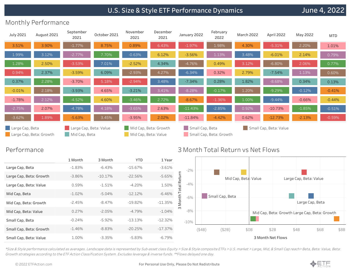# **U.S. Size & Style ETF Performance Dynamics**

# Monthly Performance

| <b>July 2021</b> | August 2021             | September<br>2021                       | October 2021 | November<br>2021                              | December<br>2021 | January 2022    | February<br>2022        | <b>March 2022</b> | April 2022             | May 2022 | <b>MTD</b> |
|------------------|-------------------------|-----------------------------------------|--------------|-----------------------------------------------|------------------|-----------------|-------------------------|-------------------|------------------------|----------|------------|
| 3.51%            | 3.90%                   | $-1.77%$                                | 8.75%        | 0.89%                                         | 6.43%            | $-1.97%$        | 1.98%                   | 4.30%             | $-5.31%$               | 2.20%    | 1.01%      |
| 1.99%            | 3.12%                   | $-2.77%$                                | 7.70%        | $-0.63%$                                      | 6.12%            | $-3.56%$        | 1.13%                   | 3.48%             | $-6.01%$               | 2.14%    | 0.79%      |
| 1.28%            | 2.50%                   | $-3.53%$                                | 7.01%        | $-2.52%$                                      | 4.34%            | $-4.76%$        | 0.49%                   | 3.12%             | $-6.80%$               | 2.06%    | 0.77%      |
| 0.94%            | 2.37%                   | $-3.59%$                                | 6.09%        | $-2.93%$                                      | 4.27%            | $-6.34%$        | 0.32%                   | 2.79%             | $-7.54%$               | 1.13%    | 0.60%      |
| 0.37%            | 2.28%                   | $-3.70%$                                | 5.18%        | $-2.94%$                                      | 3.48%            | $-7.34%$        | 0.28%                   | 1.82%             | $-8.68%$               | 0.34%    | 0.13%      |
| $-0.01%$         | 2.18%                   | $-3.93%$                                | 4.65%        | $-3.21%$                                      | 3.41%            | $-8.28%$        | $-0.17%$                | 1.20%             | $-9.29%$               | $-0.12%$ | $-0.41%$   |
| $-1.78%$         | 2.12%                   | $-4.52%$                                | 4.60%        | $-3.46%$                                      | 2.72%            | $-8.67%$        | $-1.36%$                | 1.00%             | $-9.44%$               | $-0.66%$ | $-0.44%$   |
| $-2.75%$         | 2.07%                   | $-4.78%$                                | 4.18%        | $-3.65%$                                      | 2.63%            | $-11.43%$       | $-2.85%$                | 0.92%             | $-10.73%$              | $-1.85%$ | $-0.51%$   |
| $-3.62%$         | 1.89%                   | $-5.63%$                                | 3.45%        | $-3.95%$                                      | 2.02%            | $-11.84%$       | $-4.42%$                | 0.62%             | $-12.73%$              | $-2.13%$ | $-0.59%$   |
| Large Cap, Beta  | Large Cap, Beta: Growth | Large Cap, Beta: Value<br>Mid Cap, Beta |              | Mid Cap, Beta: Growth<br>Mid Cap, Beta: Value |                  | Small Cap, Beta | Small Cap, Beta: Growth |                   | Small Cap, Beta: Value |          |            |

#### Performance

|                         | 1 Month   | 3 Month    | <b>YTD</b> | 1 Year     |                         |        |                 |                      |                                               |                        |                 |      |
|-------------------------|-----------|------------|------------|------------|-------------------------|--------|-----------------|----------------------|-----------------------------------------------|------------------------|-----------------|------|
| Large Cap, Beta         | $-1.83%$  | $-6.43%$   | $-15.67%$  | $-3.61%$   | $-2%$                   |        |                 |                      |                                               |                        |                 |      |
| Large Cap, Beta: Growth | $-3.86%$  | $-10.17\%$ | $-22.56%$  | $-5.65%$   |                         |        |                 | Mid Cap, Beta: Value |                                               | Large Cap, Beta: Value |                 |      |
| Large Cap, Beta: Value  | 0.59%     | $-1.51%$   | $-4.20%$   | 1.50%      | $-4%$<br>$\overline{m}$ |        |                 |                      |                                               |                        |                 |      |
| Mid Cap, Beta           | $-1.02\%$ | $-5.04\%$  | $-12.12\%$ | $-6.46%$   | $-6%$                   |        | Small Cap, Beta |                      |                                               |                        |                 |      |
| Mid Cap, Beta: Growth   | $-2.45%$  | $-8.47%$   | $-19.82%$  | $-11.35%$  | $\frac{1}{2}$           |        |                 |                      |                                               |                        | Large Cap, Beta |      |
| Mid Cap, Beta: Value    | 0.27%     | $-2.05%$   | $-4.79%$   | $-1.04\%$  | $-8%$                   |        |                 |                      | Mid Cap, Beta: Growth Large Cap, Beta: Growth |                        |                 |      |
| Small Cap, Beta         | $-0.24%$  | $-5.92%$   | $-13.13%$  | $-12.32%$  | $-10%$                  |        |                 |                      |                                               |                        |                 |      |
| Small Cap, Beta: Growth | $-1.46%$  | $-8.83%$   | $-20.25%$  | $-17.37\%$ |                         | (\$4B) | (\$2B)          | \$0B                 | \$2B                                          | \$4B                   | \$6B            | \$8B |
| Small Cap, Beta: Value  | 1.00%     | $-3.35%$   | $-5.83%$   | -6.79%     |                         |        |                 |                      | 3 Month Net Flows                             |                        |                 |      |

3 Month Total Return vs Net Flows

\*Size & Style performance calculated as averages. Landscape data is represented by Sub-asset class Equity <sup>&</sup>gt; Size & Style composite ETFs <sup>&</sup>gt; U.S. market <sup>&</sup>gt; Large, Mid, & Small Cap reach> Beta, Beta: Value, Beta: Growth strategies according to the ETF Action Classification System. Excludes leverage & inverse funds. \*\*Flows delayed one day.

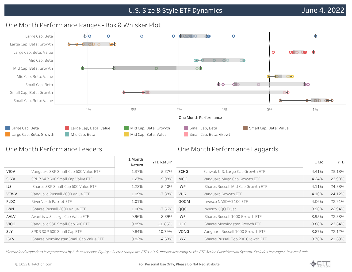

# One Month Performance Ranges - Box & Whisker Plot

## One Month Performance Leaders

# One Month Performance Laggards

|             |                                         | 1 Month<br>Return | <b>YTD Return</b> |            |                                    | 1 Mo      | YTD        |
|-------------|-----------------------------------------|-------------------|-------------------|------------|------------------------------------|-----------|------------|
| VIOV        | Vanguard S&P Small-Cap 600 Value ETF    | 1.37%             | $-5.27\%$         | SCHG       | Schwab U.S. Large-Cap Growth ETF   | $-4.41%$  | $-23.18%$  |
| <b>SLYV</b> | SPDR S&P 600 Small Cap Value ETF        | 1.27%             | $-5.08%$          | MGK        | Vanguard Mega Cap Growth ETF       | $-4.24%$  | $-23.90\%$ |
| IJS         | iShares S&P Small-Cap 600 Value ETF     | 1.23%             | $-5.40%$          | <b>IWP</b> | iShares Russell Mid-Cap Growth ETF | $-4.11%$  | $-24.88\%$ |
| <b>VTWV</b> | Vanguard Russell 2000 Value ETF         | 1.09%             | $-7.38\%$         | <b>VUG</b> | Vanguard Growth ETF                | $-4.10%$  | $-24.12%$  |
| <b>FLDZ</b> | RiverNorth Patriot ETF                  | 1.01%             |                   | QQQM       | Invesco NASDAQ 100 ETF             | $-4.06\%$ | $-22.91%$  |
| <b>IWN</b>  | iShares Russell 2000 Value ETF          | 1.00%             | $-7.56%$          | QQQ        | Invesco QQQ Trust                  | $-3.96%$  | $-22.94%$  |
| AVLV        | Avantis U.S. Large Cap Value ETF        | 0.96%             | $-2.89%$          | IWF        | iShares Russell 1000 Growth ETF    | $-3.95%$  | $-22.23%$  |
| VIOO        | Vanquard S&P Small-Cap 600 ETF          | 0.85%             | $-10.85%$         | ILCG       | iShares Morningstar Growth ETF     | $-3.88%$  | $-23.64%$  |
| <b>SLY</b>  | SPDR S&P 600 Small Cap ETF              | 0.84%             | $-10.79%$         | VONG       | Vanquard Russell 1000 Growth ETF   | $-3.87\%$ | $-22.12%$  |
| <b>ISCV</b> | iShares Morningstar Small Cap Value ETF | 0.82%             | $-4.63%$          | <b>IWY</b> | iShares Russell Top 200 Growth ETF | $-3.76%$  | $-21.69%$  |
|             |                                         |                   |                   |            |                                    |           |            |

\*Sector landscape data is represented by Sub-asset class Equity <sup>&</sup>gt; Sector composite ETFs <sup>&</sup>gt; U.S. market according to the ETF Action Classification System. Excludes leverage & inverse funds.

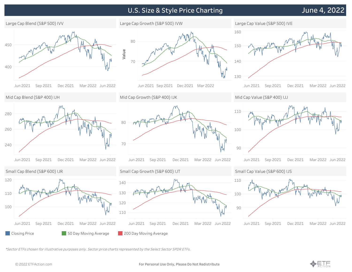# **U.S. Size & Style Price Charting**

# **June 4, 2022**



\*Sector ETFs chosen for illustrative purposes only. Sector price charts represented by the Select Sector SPDR ETFs.